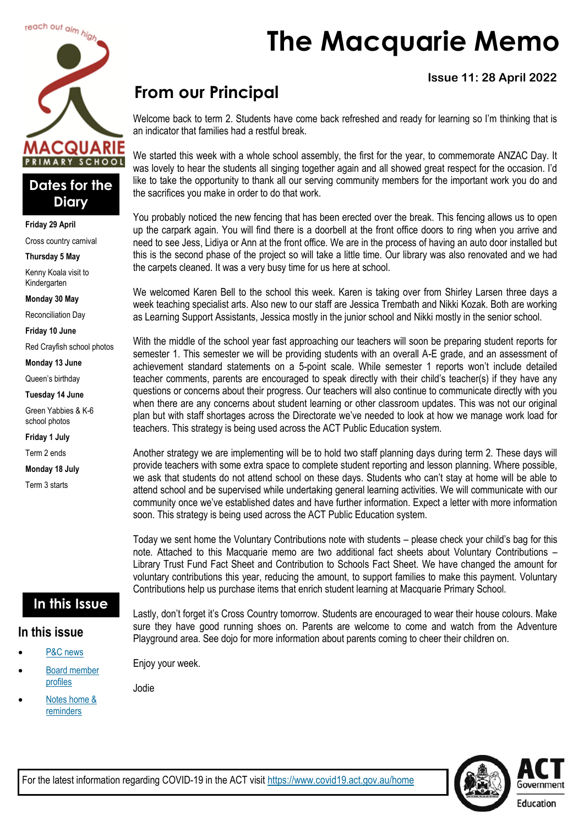

### **Dates for the Diary**

**Friday 29 April**

Cross country carnival

#### **Thursday 5 May**

Kenny Koala visit to Kindergarten

**Monday 30 May**

Reconciliation Day

**Friday 10 June**

Red Crayfish school photos

**Monday 13 June**

Queen's birthday

#### **Tuesday 14 June**

Green Yabbies & K-6 school photos

**Friday 1 July**

Term 2 ends

**Monday 18 July**

Term 3 starts

### **In this Issue**

#### **In this issue**

- [P&C news](#page-1-0)
- [Board member](#page-3-0)  [profiles](#page-3-0)
- Notes home & [reminders](#page-4-0)

**The Macquarie Memo**

### **Issue 11: 28 April 2022**

# **From our Principal**

Welcome back to term 2. Students have come back refreshed and ready for learning so I'm thinking that is an indicator that families had a restful break.

We started this week with a whole school assembly, the first for the year, to commemorate ANZAC Day. It was lovely to hear the students all singing together again and all showed great respect for the occasion. I'd like to take the opportunity to thank all our serving community members for the important work you do and the sacrifices you make in order to do that work.

You probably noticed the new fencing that has been erected over the break. This fencing allows us to open up the carpark again. You will find there is a doorbell at the front office doors to ring when you arrive and need to see Jess, Lidiya or Ann at the front office. We are in the process of having an auto door installed but this is the second phase of the project so will take a little time. Our library was also renovated and we had the carpets cleaned. It was a very busy time for us here at school.

We welcomed Karen Bell to the school this week. Karen is taking over from Shirley Larsen three days a week teaching specialist arts. Also new to our staff are Jessica Trembath and Nikki Kozak. Both are working as Learning Support Assistants, Jessica mostly in the junior school and Nikki mostly in the senior school.

With the middle of the school year fast approaching our teachers will soon be preparing student reports for semester 1. This semester we will be providing students with an overall A-E grade, and an assessment of achievement standard statements on a 5-point scale. While semester 1 reports won't include detailed teacher comments, parents are encouraged to speak directly with their child's teacher(s) if they have any questions or concerns about their progress. Our teachers will also continue to communicate directly with you when there are any concerns about student learning or other classroom updates. This was not our original plan but with staff shortages across the Directorate we've needed to look at how we manage work load for teachers. This strategy is being used across the ACT Public Education system.

Another strategy we are implementing will be to hold two staff planning days during term 2. These days will provide teachers with some extra space to complete student reporting and lesson planning. Where possible, we ask that students do not attend school on these days. Students who can't stay at home will be able to attend school and be supervised while undertaking general learning activities. We will communicate with our community once we've established dates and have further information. Expect a letter with more information soon. This strategy is being used across the ACT Public Education system.

Today we sent home the Voluntary Contributions note with students – please check your child's bag for this note. Attached to this Macquarie memo are two additional fact sheets about Voluntary Contributions – Library Trust Fund Fact Sheet and Contribution to Schools Fact Sheet. We have changed the amount for voluntary contributions this year, reducing the amount, to support families to make this payment. Voluntary Contributions help us purchase items that enrich student learning at Macquarie Primary School.

Lastly, don't forget it's Cross Country tomorrow. Students are encouraged to wear their house colours. Make sure they have good running shoes on. Parents are welcome to come and watch from the Adventure Playground area. See dojo for more information about parents coming to cheer their children on.

Enjoy your week.

Jodie

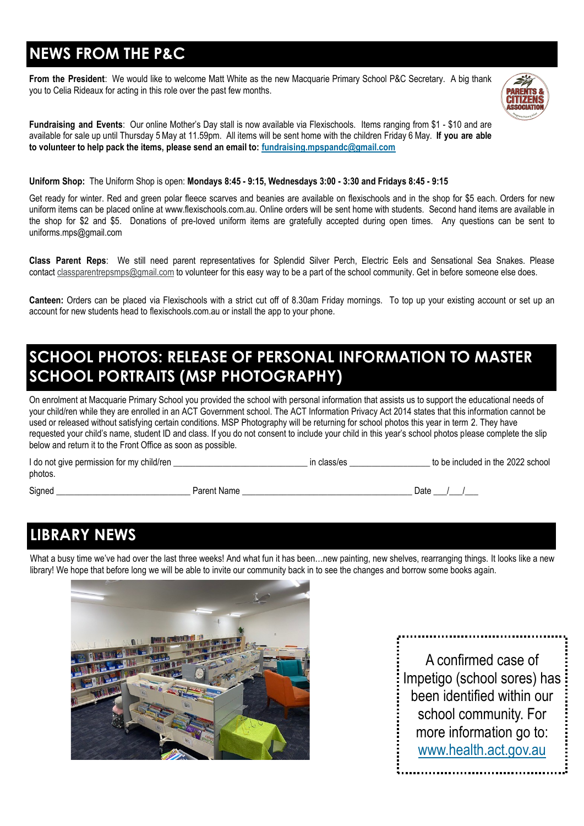# <span id="page-1-0"></span>**NEWS FROM THE P&C**

**From the President**: We would like to welcome Matt White as the new Macquarie Primary School P&C Secretary. A big thank you to Celia Rideaux for acting in this role over the past few months.



**Fundraising and Events**: Our online Mother's Day stall is now available via Flexischools. Items ranging from \$1 - \$10 and are available for sale up until Thursday 5May at 11.59pm. All items will be sent home with the children Friday 6 May. **If you are able to volunteer to help pack the items, please send an email to: [fundraising.mpspandc@gmail.com](mailto:fundraising.mpspandc@gmail.com)**

#### **Uniform Shop:** The Uniform Shop is open: **Mondays 8:45 - 9:15, Wednesdays 3:00 - 3:30 and Fridays 8:45 - 9:15**

Get ready for winter. Red and green polar fleece scarves and beanies are available on flexischools and in the shop for \$5 each. Orders for new uniform items can be placed online at [www.flexischools.com.au.](https://aus01.safelinks.protection.outlook.com/?url=http%3A%2F%2Fwww.flexischools.com.au%2F&data=05%7C01%7C%7Cf4ee1273a6bc453bbe1708da2408dd6a%7Cf1d4a8326c2144759bf48cc7e9044a29%7C0%7C0%7C637861917742907634%7CUnknown%7CTWFpbGZsb3d8eyJWIjoiMC4wLjAwMDAiLCJQIjoi) Online orders will be sent home with students. Second hand items are available in the shop for \$2 and \$5. Donations of pre-loved uniform items are gratefully accepted during open times. Any questions can be sent to [uniforms.mps@gmail.com](mailto:uniforms.mps@gmail.com)

**Class Parent Reps**: We still need parent representatives for Splendid Silver Perch, Electric Eels and Sensational Sea Snakes. Please contact [classparentrepsmps@gmail.com](mailto:classparentrepsmps@gmail.com) to volunteer for this easy way to be a part of the school community. Get in before someone else does.

**Canteen:** Orders can be placed via Flexischools with a strict cut off of 8.30am Friday mornings. To top up your existing account or set up an account for new students head to flexischools.com.au or install the app to your phone.

## **SCHOOL PHOTOS: RELEASE OF PERSONAL INFORMATION TO MASTER SCHOOL PORTRAITS (MSP PHOTOGRAPHY)**

On enrolment at Macquarie Primary School you provided the school with personal information that assists us to support the educational needs of your child/ren while they are enrolled in an ACT Government school. The ACT Information Privacy Act 2014 states that this information cannot be used or released without satisfying certain conditions. MSP Photography will be returning for school photos this year in term 2. They have requested your child's name, student ID and class. If you do not consent to include your child in this year's school photos please complete the slip below and return it to the Front Office as soon as possible.

| I do not give permission for my child/ren |             | in class/es | to be included in the 2022 school |
|-------------------------------------------|-------------|-------------|-----------------------------------|
| photos.                                   |             |             |                                   |
| Signed                                    | Parent Name |             | Date                              |

## **LIBRARY NEWS**

What a busy time we've had over the last three weeks! And what fun it has been...new painting, new shelves, rearranging things. It looks like a new library! We hope that before long we will be able to invite our community back in to see the changes and borrow some books again.



A confirmed case of Impetigo (school sores) has been identified within our school community. For more information go to: [www.health.act.gov.au](http://www.health.act.gov.au)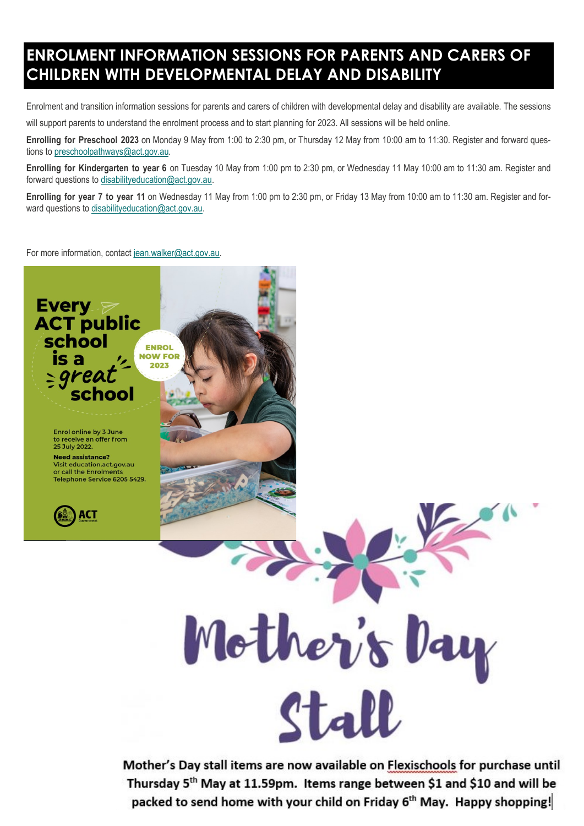## **ENROLMENT INFORMATION SESSIONS FOR PARENTS AND CARERS OF CHILDREN WITH DEVELOPMENTAL DELAY AND DISABILITY**

Enrolment and transition information sessions for parents and carers of children with developmental delay and disability are available. The sessions will support parents to understand the enrolment process and to start planning for 2023. All sessions will be held online.

**Enrolling for Preschool 2023** on Monday 9 May from 1:00 to 2:30 pm, or Thursday 12 May from 10:00 am to 11:30. Register and forward questions to [preschoolpathways@act.gov.au.](mailto:preschoolpathways@act.gov.au)

**Enrolling for Kindergarten to year 6** on Tuesday 10 May from 1:00 pm to 2:30 pm, or Wednesday 11 May 10:00 am to 11:30 am. Register and forward questions to [disabilityeducation@act.gov.au.](mailto:disabilityeducation@act.gov.au)

**Enrolling for year 7 to year 11** on Wednesday 11 May from 1:00 pm to 2:30 pm, or Friday 13 May from 10:00 am to 11:30 am. Register and forward questions to [disabilityeducation@act.gov.au.](mailto:disabilityeducation@act.gov.au)

For more information, contact [jean.walker@act.gov.au.](mailto:jean.walker@act.gov.au)



Thursday 5<sup>th</sup> May at 11.59pm. Items range between \$1 and \$10 and will be packed to send home with your child on Friday 6<sup>th</sup> May. Happy shopping!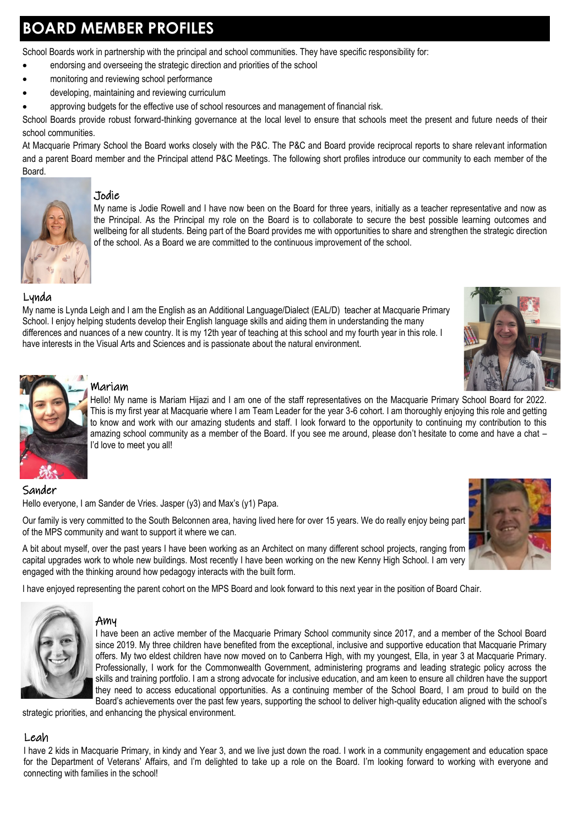# <span id="page-3-0"></span>**BOARD MEMBER PROFILES**

School Boards work in partnership with the principal and school communities. They have specific responsibility for:

- endorsing and overseeing the strategic direction and priorities of the school
- monitoring and reviewing school performance
- developing, maintaining and reviewing curriculum
- approving budgets for the effective use of school resources and management of financial risk.

School Boards provide robust forward-thinking governance at the local level to ensure that schools meet the present and future needs of their school communities.

At Macquarie Primary School the Board works closely with the P&C. The P&C and Board provide reciprocal reports to share relevant information and a parent Board member and the Principal attend P&C Meetings. The following short profiles introduce our community to each member of the Board.



#### Jodie

My name is Jodie Rowell and I have now been on the Board for three years, initially as a teacher representative and now as the Principal. As the Principal my role on the Board is to collaborate to secure the best possible learning outcomes and wellbeing for all students. Being part of the Board provides me with opportunities to share and strengthen the strategic direction of the school. As a Board we are committed to the continuous improvement of the school.

#### Lynda

My name is Lynda Leigh and I am the English as an Additional Language/Dialect (EAL/D) teacher at Macquarie Primary School. I enjoy helping students develop their English language skills and aiding them in understanding the many differences and nuances of a new country. It is my 12th year of teaching at this school and my fourth year in this role. I have interests in the Visual Arts and Sciences and is passionate about the natural environment.





#### Mariam

Hello! My name is Mariam Hijazi and I am one of the staff representatives on the Macquarie Primary School Board for 2022. This is my first year at Macquarie where I am Team Leader for the year 3-6 cohort. I am thoroughly enjoying this role and getting to know and work with our amazing students and staff. I look forward to the opportunity to continuing my contribution to this amazing school community as a member of the Board. If you see me around, please don't hesitate to come and have a chat – I'd love to meet you all!

#### Sander

Hello everyone, I am Sander de Vries. Jasper (y3) and Max's (y1) Papa.

Our family is very committed to the South Belconnen area, having lived here for over 15 years. We do really enjoy being part of the MPS community and want to support it where we can.

A bit about myself, over the past years I have been working as an Architect on many different school projects, ranging from capital upgrades work to whole new buildings. Most recently I have been working on the new Kenny High School. I am very engaged with the thinking around how pedagogy interacts with the built form.

I have enjoyed representing the parent cohort on the MPS Board and look forward to this next year in the position of Board Chair.



#### Amy

I have been an active member of the Macquarie Primary School community since 2017, and a member of the School Board since 2019. My three children have benefited from the exceptional, inclusive and supportive education that Macquarie Primary offers. My two eldest children have now moved on to Canberra High, with my youngest, Ella, in year 3 at Macquarie Primary. Professionally, I work for the Commonwealth Government, administering programs and leading strategic policy across the skills and training portfolio. I am a strong advocate for inclusive education, and am keen to ensure all children have the support they need to access educational opportunities. As a continuing member of the School Board, I am proud to build on the Board's achievements over the past few years, supporting the school to deliver high-quality education aligned with the school's

strategic priorities, and enhancing the physical environment.

#### Leah

I have 2 kids in Macquarie Primary, in kindy and Year 3, and we live just down the road. I work in a community engagement and education space for the Department of Veterans' Affairs, and I'm delighted to take up a role on the Board. I'm looking forward to working with everyone and connecting with families in the school!